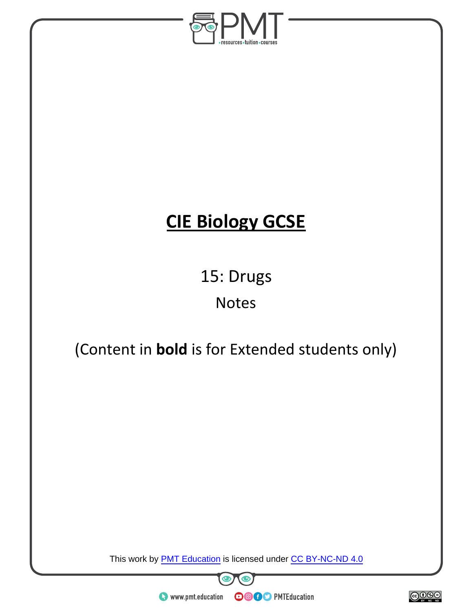

# **CIE Biology GCSE**

15: Drugs Notes

## (Content in **bold** is for Extended students only)

This work by **PMT Education** is licensed under CC BY-NC-ND 4.0



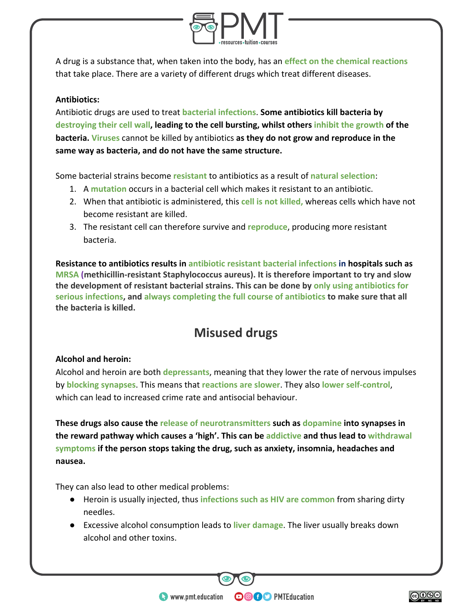

A drug is a substance that, when taken into the body, has an **effect on the chemical reactions** that take place. There are a variety of different drugs which treat different diseases.

#### **Antibiotics:**

Antibiotic drugs are used to treat **bacterial infections**. **Some antibiotics kill bacteria by destroying their cell wall, leading to the cell bursting, whilst others inhibit the growth of the bacteria. Viruses** cannot be killed by antibiotics **as they do not grow and reproduce in the same way as bacteria, and do not have the same structure.**

Some bacterial strains become **resistant** to antibiotics as a result of **natural selection**:

- 1. A **mutation** occurs in a bacterial cell which makes it resistant to an antibiotic.
- 2. When that antibiotic is administered, this **cell is not killed,** whereas cells which have not become resistant are killed.
- 3. The resistant cell can therefore survive and **reproduce**, producing more resistant bacteria.

**Resistance to antibiotics results in antibiotic resistant bacterial infections in hospitals such as MRSA (methicillin-resistant Staphylococcus aureus). It is therefore important to try and slow the development of resistant bacterial strains. This can be done by only using antibiotics for serious infections, and always completing the full course of antibiotics to make sure that all the bacteria is killed.**

### **Misused drugs**

#### **Alcohol and heroin:**

Alcohol and heroin are both **depressants**, meaning that they lower the rate of nervous impulses by **blocking synapses**. This means that **reactions are slower**. They also **lower self-control**, which can lead to increased crime rate and antisocial behaviour.

**These drugs also cause the release of neurotransmitters such as dopamine into synapses in the reward pathway which causes a 'high'. This can be addictive and thus lead to withdrawal symptoms if the person stops taking the drug, such as anxiety, insomnia, headaches and nausea.**

They can also lead to other medical problems:

- Heroin is usually injected, thus **infections such as HIV are common** from sharing dirty needles.
- Excessive alcohol consumption leads to **liver damage**. The liver usually breaks down alcohol and other toxins.

**OOOO** PMTEducation

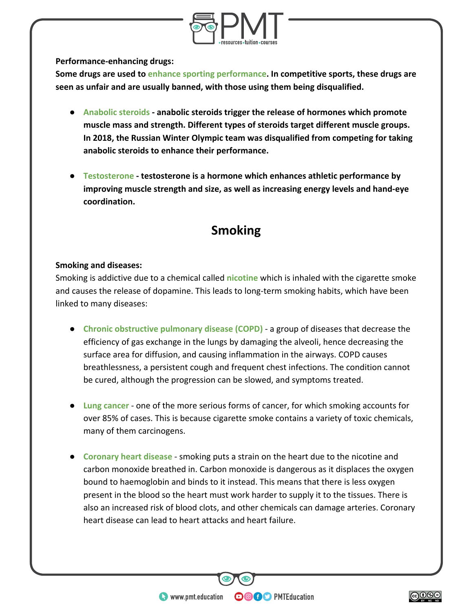

**Performance-enhancing drugs:**

**Some drugs are used to enhance sporting performance. In competitive sports, these drugs are seen as unfair and are usually banned, with those using them being disqualified.**

- **Anabolic steroids anabolic steroids trigger the release of hormones which promote muscle mass and strength. Different types of steroids target different muscle groups. In 2018, the Russian Winter Olympic team was disqualified from competing for taking anabolic steroids to enhance their performance.**
- **Testosterone testosterone is a hormone which enhances athletic performance by improving muscle strength and size, as well as increasing energy levels and hand-eye coordination.**

## **Smoking**

#### **Smoking and diseases:**

Smoking is addictive due to a chemical called **nicotine** which is inhaled with the cigarette smoke and causes the release of dopamine. This leads to long-term smoking habits, which have been linked to many diseases:

- **Chronic obstructive pulmonary disease (COPD)** a group of diseases that decrease the efficiency of gas exchange in the lungs by damaging the alveoli, hence decreasing the surface area for diffusion, and causing inflammation in the airways. COPD causes breathlessness, a persistent cough and frequent chest infections. The condition cannot be cured, although the progression can be slowed, and symptoms treated.
- **Lung cancer** one of the more serious forms of cancer, for which smoking accounts for over 85% of cases. This is because cigarette smoke contains a variety of toxic chemicals, many of them carcinogens.
- **Coronary heart disease** smoking puts a strain on the heart due to the nicotine and carbon monoxide breathed in. Carbon monoxide is dangerous as it displaces the oxygen bound to haemoglobin and binds to it instead. This means that there is less oxygen present in the blood so the heart must work harder to supply it to the tissues. There is also an increased risk of blood clots, and other chemicals can damage arteries. Coronary heart disease can lead to heart attacks and heart failure.

**OOOO** PMTEducation